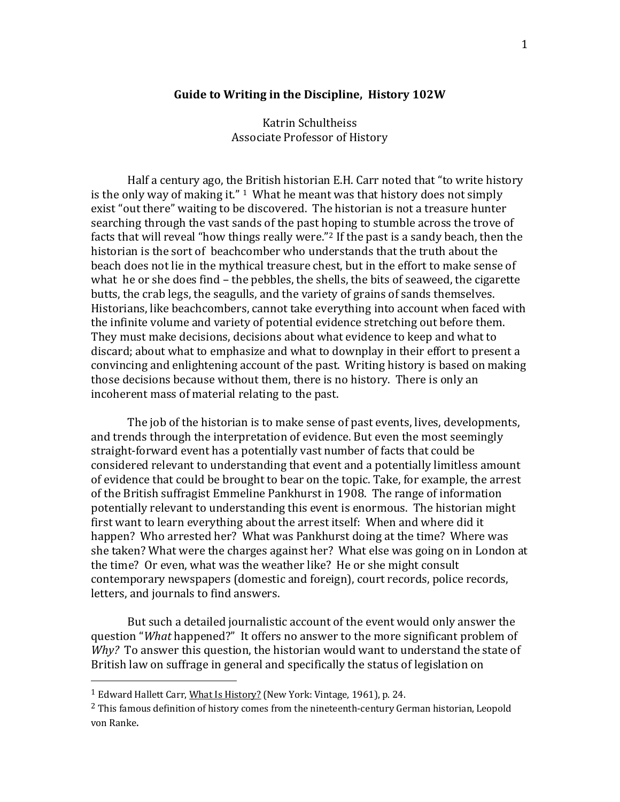#### **Guide to Writing in the Discipline, History 102W**

Katrin Schultheiss Associate Professor of History

Half a century ago, the British historian E.H. Carr noted that "to write history is the only way of making it."  $1$  What he meant was that history does not simply exist "out there" waiting to be discovered. The historian is not a treasure hunter searching through the vast sands of the past hoping to stumble across the trove of facts that will reveal "how things really were."[2](#page-0-1) If the past is a sandy beach, then the historian is the sort of beachcomber who understands that the truth about the beach does not lie in the mythical treasure chest, but in the effort to make sense of what he or she does find – the pebbles, the shells, the bits of seaweed, the cigarette butts, the crab legs, the seagulls, and the variety of grains of sands themselves. Historians, like beachcombers, cannot take everything into account when faced with the infinite volume and variety of potential evidence stretching out before them. They must make decisions, decisions about what evidence to keep and what to discard; about what to emphasize and what to downplay in their effort to present a convincing and enlightening account of the past. Writing history is based on making those decisions because without them, there is no history. There is only an incoherent mass of material relating to the past.

The job of the historian is to make sense of past events, lives, developments, and trends through the interpretation of evidence. But even the most seemingly straight-forward event has a potentially vast number of facts that could be considered relevant to understanding that event and a potentially limitless amount of evidence that could be brought to bear on the topic. Take, for example, the arrest of the British suffragist Emmeline Pankhurst in 1908. The range of information potentially relevant to understanding this event is enormous. The historian might first want to learn everything about the arrest itself: When and where did it happen? Who arrested her? What was Pankhurst doing at the time? Where was she taken? What were the charges against her? What else was going on in London at the time? Or even, what was the weather like? He or she might consult contemporary newspapers (domestic and foreign), court records, police records, letters, and journals to find answers.

But such a detailed journalistic account of the event would only answer the question "*What* happened?" It offers no answer to the more significant problem of *Why?* To answer this question, the historian would want to understand the state of British law on suffrage in general and specifically the status of legislation on

<span id="page-0-0"></span><sup>&</sup>lt;sup>1</sup> Edward Hallett Carr, What Is History? (New York: Vintage, 1961), p. 24.

<span id="page-0-1"></span> $<sup>2</sup>$  This famous definition of history comes from the nineteenth-century German historian, Leopold</sup> von Ranke.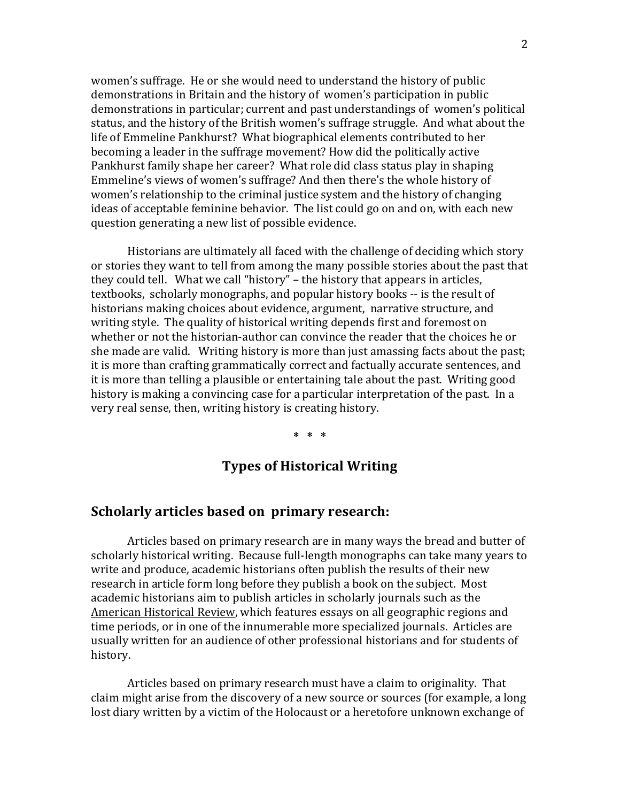women's suffrage. He or she would need to understand the history of public demonstrations in Britain and the history of women's participation in public demonstrations in particular; current and past understandings of women's political status, and the history of the British women's suffrage struggle. And what about the life of Emmeline Pankhurst? What biographical elements contributed to her becoming a leader in the suffrage movement? How did the politically active Pankhurst family shape her career? What role did class status play in shaping Emmeline's views of women's suffrage? And then there's the whole history of women's relationship to the criminal justice system and the history of changing ideas of acceptable feminine behavior. The list could go on and on, with each new question generating a new list of possible evidence.

Historians are ultimately all faced with the challenge of deciding which story or stories they want to tell from among the many possible stories about the past that they could tell. What we call "history" – the history that appears in articles, textbooks, scholarly monographs, and popular history books -- is the result of historians making choices about evidence, argument, narrative structure, and writing style. The quality of historical writing depends first and foremost on whether or not the historian-author can convince the reader that the choices he or she made are valid. Writing history is more than just amassing facts about the past; it is more than crafting grammatically correct and factually accurate sentences, and it is more than telling a plausible or entertaining tale about the past. Writing good history is making a convincing case for a particular interpretation of the past. In a very real sense, then, writing history is creating history.

**\* \* \***

## **Types of Historical Writing**

### **Scholarly articles based on primary research:**

Articles based on primary research are in many ways the bread and butter of scholarly historical writing. Because full-length monographs can take many years to write and produce, academic historians often publish the results of their new research in article form long before they publish a book on the subject. Most academic historians aim to publish articles in scholarly journals such as the American Historical Review, which features essays on all geographic regions and time periods, or in one of the innumerable more specialized journals. Articles are usually written for an audience of other professional historians and for students of history.

Articles based on primary research must have a claim to originality. That claim might arise from the discovery of a new source or sources (for example, a long lost diary written by a victim of the Holocaust or a heretofore unknown exchange of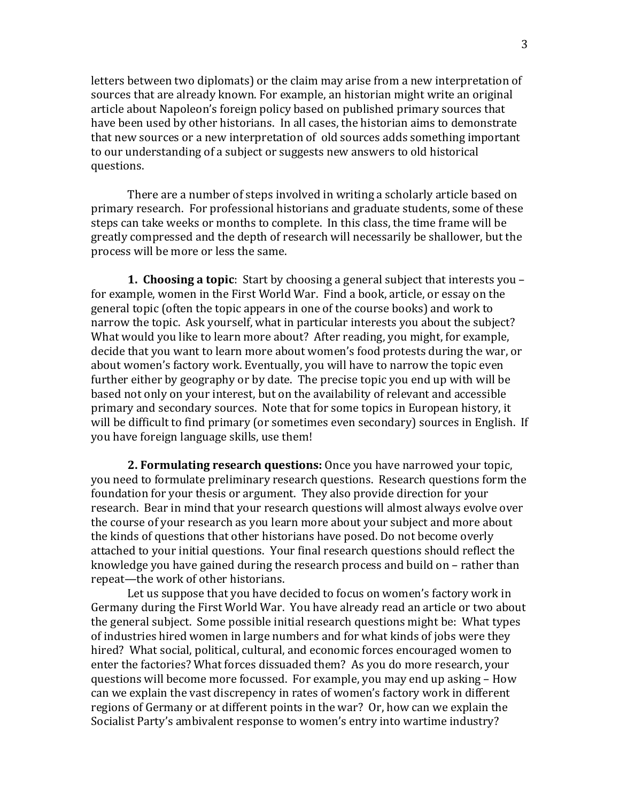letters between two diplomats) or the claim may arise from a new interpretation of sources that are already known. For example, an historian might write an original article about Napoleon's foreign policy based on published primary sources that have been used by other historians. In all cases, the historian aims to demonstrate that new sources or a new interpretation of old sources adds something important to our understanding of a subject or suggests new answers to old historical questions.

There are a number of steps involved in writing a scholarly article based on primary research. For professional historians and graduate students, some of these steps can take weeks or months to complete. In this class, the time frame will be greatly compressed and the depth of research will necessarily be shallower, but the process will be more or less the same.

**1. Choosing a topic**: Start by choosing a general subject that interests you – for example, women in the First World War. Find a book, article, or essay on the general topic (often the topic appears in one of the course books) and work to narrow the topic. Ask yourself, what in particular interests you about the subject? What would you like to learn more about? After reading, you might, for example, decide that you want to learn more about women's food protests during the war, or about women's factory work. Eventually, you will have to narrow the topic even further either by geography or by date. The precise topic you end up with will be based not only on your interest, but on the availability of relevant and accessible primary and secondary sources. Note that for some topics in European history, it will be difficult to find primary (or sometimes even secondary) sources in English. If you have foreign language skills, use them!

**2. Formulating research questions:** Once you have narrowed your topic, you need to formulate preliminary research questions. Research questions form the foundation for your thesis or argument. They also provide direction for your research. Bear in mind that your research questions will almost always evolve over the course of your research as you learn more about your subject and more about the kinds of questions that other historians have posed. Do not become overly attached to your initial questions. Your final research questions should reflect the knowledge you have gained during the research process and build on – rather than repeat—the work of other historians.

Let us suppose that you have decided to focus on women's factory work in Germany during the First World War. You have already read an article or two about the general subject. Some possible initial research questions might be: What types of industries hired women in large numbers and for what kinds of jobs were they hired? What social, political, cultural, and economic forces encouraged women to enter the factories? What forces dissuaded them? As you do more research, your questions will become more focussed. For example, you may end up asking – How can we explain the vast discrepency in rates of women's factory work in different regions of Germany or at different points in the war? Or, how can we explain the Socialist Party's ambivalent response to women's entry into wartime industry?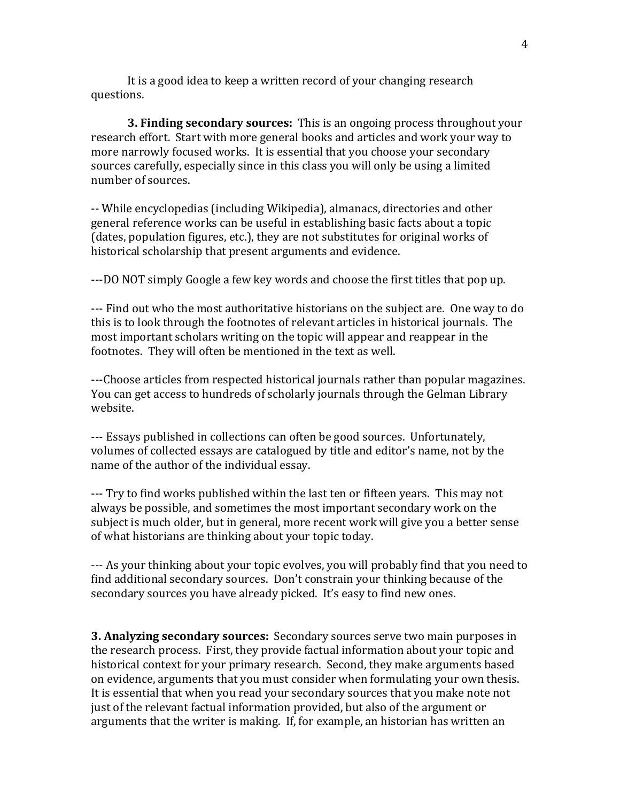It is a good idea to keep a written record of your changing research questions.

**3. Finding secondary sources:** This is an ongoing process throughout your research effort. Start with more general books and articles and work your way to more narrowly focused works. It is essential that you choose your secondary sources carefully, especially since in this class you will only be using a limited number of sources.

-- While encyclopedias (including Wikipedia), almanacs, directories and other general reference works can be useful in establishing basic facts about a topic (dates, population figures, etc.), they are not substitutes for original works of historical scholarship that present arguments and evidence.

---DO NOT simply Google a few key words and choose the first titles that pop up.

--- Find out who the most authoritative historians on the subject are. One way to do this is to look through the footnotes of relevant articles in historical journals. The most important scholars writing on the topic will appear and reappear in the footnotes. They will often be mentioned in the text as well.

---Choose articles from respected historical journals rather than popular magazines. You can get access to hundreds of scholarly journals through the Gelman Library website.

--- Essays published in collections can often be good sources. Unfortunately, volumes of collected essays are catalogued by title and editor's name, not by the name of the author of the individual essay.

--- Try to find works published within the last ten or fifteen years. This may not always be possible, and sometimes the most important secondary work on the subject is much older, but in general, more recent work will give you a better sense of what historians are thinking about your topic today.

--- As your thinking about your topic evolves, you will probably find that you need to find additional secondary sources. Don't constrain your thinking because of the secondary sources you have already picked. It's easy to find new ones.

**3. Analyzing secondary sources:** Secondary sources serve two main purposes in the research process. First, they provide factual information about your topic and historical context for your primary research. Second, they make arguments based on evidence, arguments that you must consider when formulating your own thesis. It is essential that when you read your secondary sources that you make note not just of the relevant factual information provided, but also of the argument or arguments that the writer is making. If, for example, an historian has written an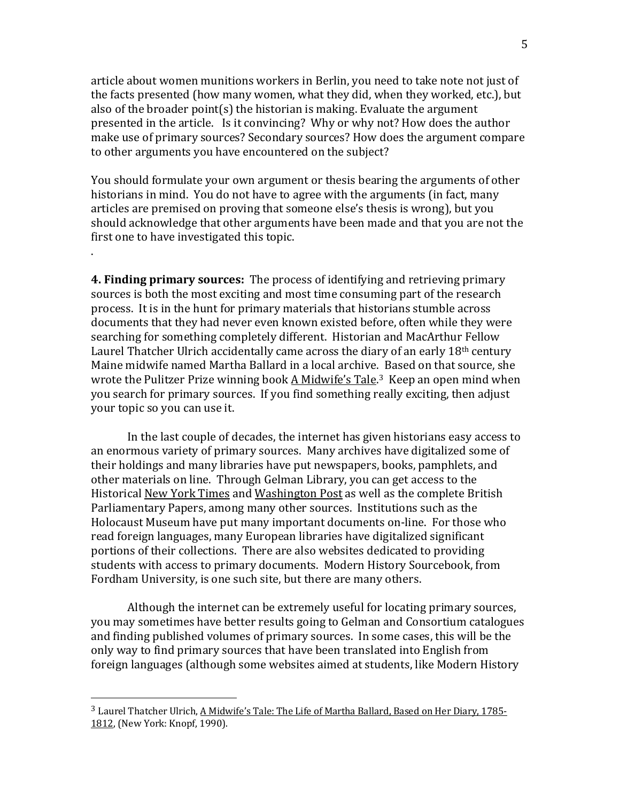article about women munitions workers in Berlin, you need to take note not just of the facts presented (how many women, what they did, when they worked, etc.), but also of the broader point(s) the historian is making. Evaluate the argument presented in the article. Is it convincing? Why or why not? How does the author make use of primary sources? Secondary sources? How does the argument compare to other arguments you have encountered on the subject?

You should formulate your own argument or thesis bearing the arguments of other historians in mind. You do not have to agree with the arguments (in fact, many articles are premised on proving that someone else's thesis is wrong), but you should acknowledge that other arguments have been made and that you are not the first one to have investigated this topic.

.

**4. Finding primary sources:** The process of identifying and retrieving primary sources is both the most exciting and most time consuming part of the research process. It is in the hunt for primary materials that historians stumble across documents that they had never even known existed before, often while they were searching for something completely different. Historian and MacArthur Fellow Laurel Thatcher Ulrich accidentally came across the diary of an early 18<sup>th</sup> century Maine midwife named Martha Ballard in a local archive. Based on that source, she wrote the Pulitzer Prize winning book <u>A Midwife's Tale.[3](#page-4-0) Keep an open mind when</u> you search for primary sources. If you find something really exciting, then adjust your topic so you can use it.

In the last couple of decades, the internet has given historians easy access to an enormous variety of primary sources. Many archives have digitalized some of their holdings and many libraries have put newspapers, books, pamphlets, and other materials on line. Through Gelman Library, you can get access to the Historical New York Times and Washington Post as well as the complete British Parliamentary Papers, among many other sources. Institutions such as the Holocaust Museum have put many important documents on-line. For those who read foreign languages, many European libraries have digitalized significant portions of their collections. There are also websites dedicated to providing students with access to primary documents. Modern History Sourcebook, from Fordham University, is one such site, but there are many others.

Although the internet can be extremely useful for locating primary sources, you may sometimes have better results going to Gelman and Consortium catalogues and finding published volumes of primary sources. In some cases, this will be the only way to find primary sources that have been translated into English from foreign languages (although some websites aimed at students, like Modern History

<span id="page-4-0"></span><sup>3</sup> Laurel Thatcher Ulrich, A Midwife's Tale: The Life of Martha Ballard, Based on Her Diary, 1785- 1812, (New York: Knopf, 1990).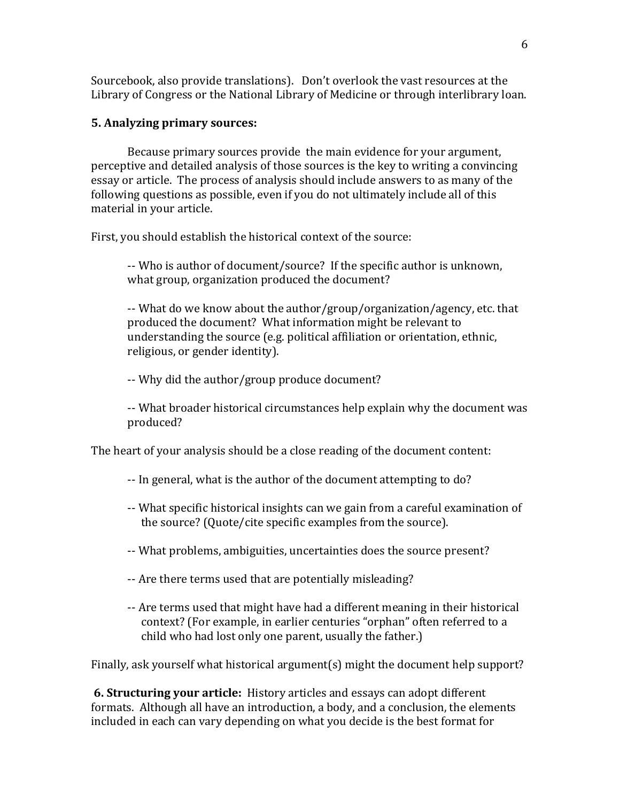Sourcebook, also provide translations). Don't overlook the vast resources at the Library of Congress or the National Library of Medicine or through interlibrary loan.

## **5. Analyzing primary sources:**

Because primary sources provide the main evidence for your argument, perceptive and detailed analysis of those sources is the key to writing a convincing essay or article. The process of analysis should include answers to as many of the following questions as possible, even if you do not ultimately include all of this material in your article.

First, you should establish the historical context of the source:

-- Who is author of document/source? If the specific author is unknown, what group, organization produced the document?

-- What do we know about the author/group/organization/agency, etc. that produced the document? What information might be relevant to understanding the source (e.g. political affiliation or orientation, ethnic, religious, or gender identity).

-- Why did the author/group produce document?

-- What broader historical circumstances help explain why the document was produced?

The heart of your analysis should be a close reading of the document content:

- -- In general, what is the author of the document attempting to do?
- -- What specific historical insights can we gain from a careful examination of the source? (Quote/cite specific examples from the source).
- -- What problems, ambiguities, uncertainties does the source present?
- -- Are there terms used that are potentially misleading?
- -- Are terms used that might have had a different meaning in their historical context? (For example, in earlier centuries "orphan" often referred to a child who had lost only one parent, usually the father.)

Finally, ask yourself what historical argument(s) might the document help support?

**6. Structuring your article:** History articles and essays can adopt different formats. Although all have an introduction, a body, and a conclusion, the elements included in each can vary depending on what you decide is the best format for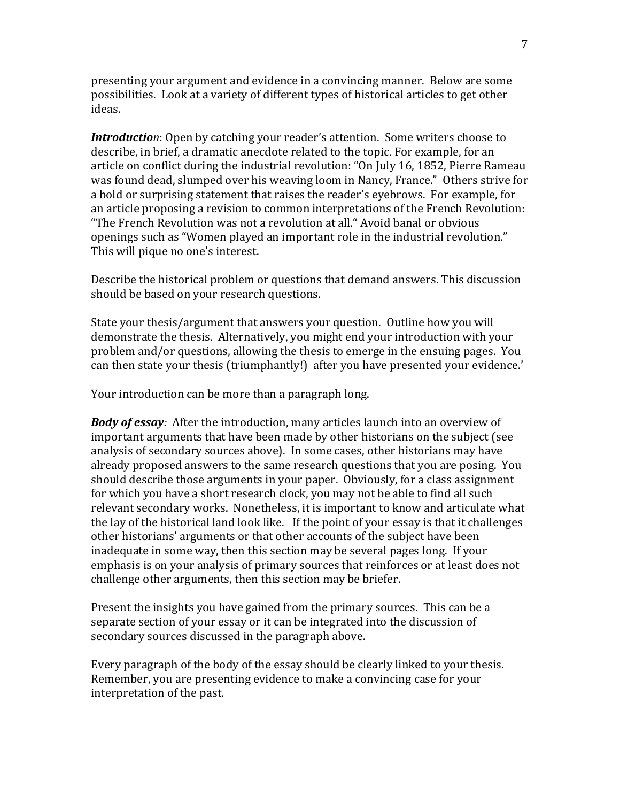presenting your argument and evidence in a convincing manner. Below are some possibilities. Look at a variety of different types of historical articles to get other ideas.

*Introduction*: Open by catching your reader's attention. Some writers choose to describe, in brief, a dramatic anecdote related to the topic. For example, for an article on conflict during the industrial revolution: "On July 16, 1852, Pierre Rameau was found dead, slumped over his weaving loom in Nancy, France." Others strive for a bold or surprising statement that raises the reader's eyebrows. For example, for an article proposing a revision to common interpretations of the French Revolution: "The French Revolution was not a revolution at all." Avoid banal or obvious openings such as "Women played an important role in the industrial revolution." This will pique no one's interest.

Describe the historical problem or questions that demand answers. This discussion should be based on your research questions.

State your thesis/argument that answers your question. Outline how you will demonstrate the thesis. Alternatively, you might end your introduction with your problem and/or questions, allowing the thesis to emerge in the ensuing pages. You can then state your thesis (triumphantly!) after you have presented your evidence.'

Your introduction can be more than a paragraph long.

*Body of essay:* After the introduction, many articles launch into an overview of important arguments that have been made by other historians on the subject (see analysis of secondary sources above). In some cases, other historians may have already proposed answers to the same research questions that you are posing. You should describe those arguments in your paper. Obviously, for a class assignment for which you have a short research clock, you may not be able to find all such relevant secondary works. Nonetheless, it is important to know and articulate what the lay of the historical land look like. If the point of your essay is that it challenges other historians' arguments or that other accounts of the subject have been inadequate in some way, then this section may be several pages long. If your emphasis is on your analysis of primary sources that reinforces or at least does not challenge other arguments, then this section may be briefer.

Present the insights you have gained from the primary sources. This can be a separate section of your essay or it can be integrated into the discussion of secondary sources discussed in the paragraph above.

Every paragraph of the body of the essay should be clearly linked to your thesis. Remember, you are presenting evidence to make a convincing case for your interpretation of the past.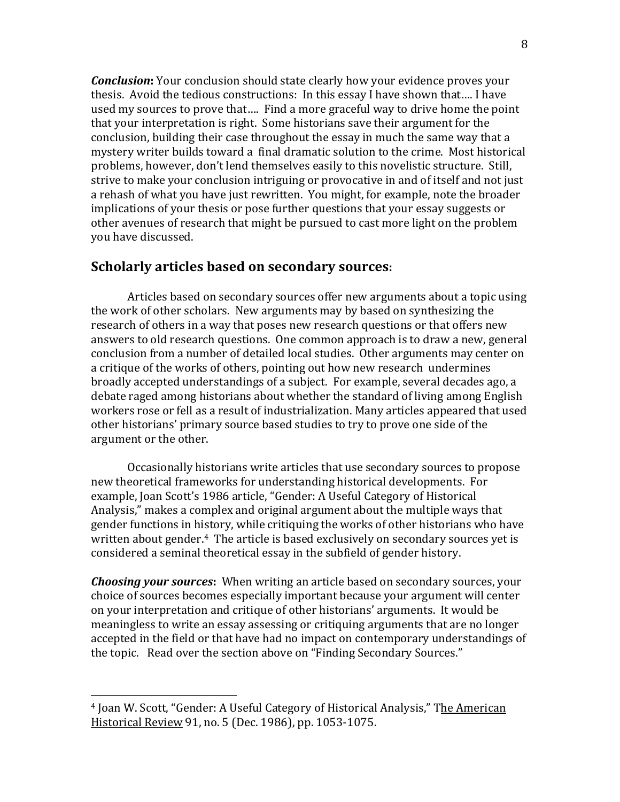*Conclusion***:** Your conclusion should state clearly how your evidence proves your thesis. Avoid the tedious constructions: In this essay I have shown that…. I have used my sources to prove that…. Find a more graceful way to drive home the point that your interpretation is right. Some historians save their argument for the conclusion, building their case throughout the essay in much the same way that a mystery writer builds toward a final dramatic solution to the crime. Most historical problems, however, don't lend themselves easily to this novelistic structure. Still, strive to make your conclusion intriguing or provocative in and of itself and not just a rehash of what you have just rewritten. You might, for example, note the broader implications of your thesis or pose further questions that your essay suggests or other avenues of research that might be pursued to cast more light on the problem you have discussed.

## **Scholarly articles based on secondary sources:**

Articles based on secondary sources offer new arguments about a topic using the work of other scholars. New arguments may by based on synthesizing the research of others in a way that poses new research questions or that offers new answers to old research questions. One common approach is to draw a new, general conclusion from a number of detailed local studies. Other arguments may center on a critique of the works of others, pointing out how new research undermines broadly accepted understandings of a subject. For example, several decades ago, a debate raged among historians about whether the standard of living among English workers rose or fell as a result of industrialization. Many articles appeared that used other historians' primary source based studies to try to prove one side of the argument or the other.

Occasionally historians write articles that use secondary sources to propose new theoretical frameworks for understanding historical developments. For example, Joan Scott's 1986 article, "Gender: A Useful Category of Historical Analysis," makes a complex and original argument about the multiple ways that gender functions in history, while critiquing the works of other historians who have written about gender.<sup>[4](#page-7-0)</sup> The article is based exclusively on secondary sources yet is considered a seminal theoretical essay in the subfield of gender history.

*Choosing your sources***:** When writing an article based on secondary sources, your choice of sources becomes especially important because your argument will center on your interpretation and critique of other historians' arguments. It would be meaningless to write an essay assessing or critiquing arguments that are no longer accepted in the field or that have had no impact on contemporary understandings of the topic. Read over the section above on "Finding Secondary Sources."

<span id="page-7-0"></span><sup>4</sup> Joan W. Scott, "Gender: A Useful Category of Historical Analysis," The American Historical Review 91, no. 5 (Dec. 1986), pp. 1053-1075.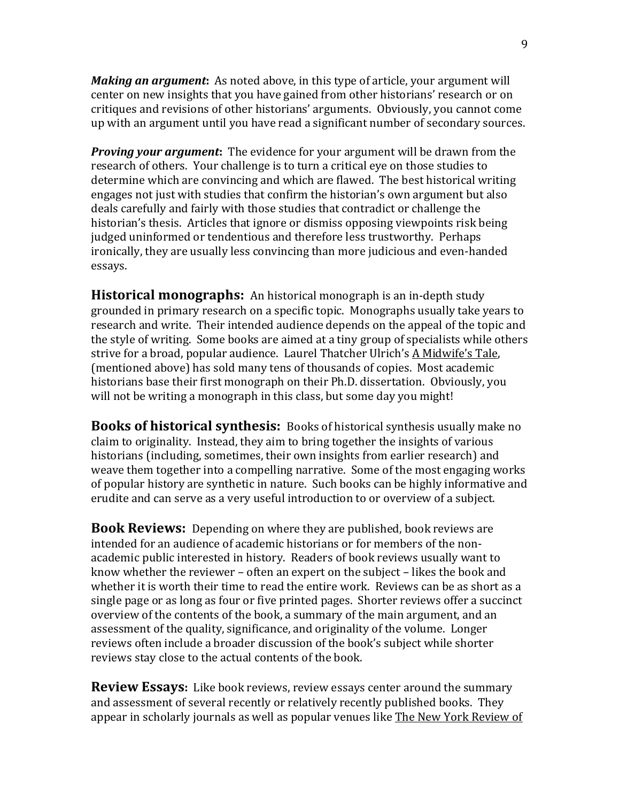*Making an argument***:** As noted above, in this type of article, your argument will center on new insights that you have gained from other historians' research or on critiques and revisions of other historians' arguments. Obviously, you cannot come up with an argument until you have read a significant number of secondary sources.

*Proving your argument***:** The evidence for your argument will be drawn from the research of others. Your challenge is to turn a critical eye on those studies to determine which are convincing and which are flawed. The best historical writing engages not just with studies that confirm the historian's own argument but also deals carefully and fairly with those studies that contradict or challenge the historian's thesis. Articles that ignore or dismiss opposing viewpoints risk being judged uninformed or tendentious and therefore less trustworthy. Perhaps ironically, they are usually less convincing than more judicious and even-handed essays.

**Historical monographs:** An historical monograph is an in-depth study grounded in primary research on a specific topic. Monographs usually take years to research and write. Their intended audience depends on the appeal of the topic and the style of writing. Some books are aimed at a tiny group of specialists while others strive for a broad, popular audience. Laurel Thatcher Ulrich's A Midwife's Tale, (mentioned above) has sold many tens of thousands of copies. Most academic historians base their first monograph on their Ph.D. dissertation. Obviously, you will not be writing a monograph in this class, but some day you might!

**Books of historical synthesis:** Books of historical synthesis usually make no claim to originality. Instead, they aim to bring together the insights of various historians (including, sometimes, their own insights from earlier research) and weave them together into a compelling narrative. Some of the most engaging works of popular history are synthetic in nature. Such books can be highly informative and erudite and can serve as a very useful introduction to or overview of a subject.

**Book Reviews:** Depending on where they are published, book reviews are intended for an audience of academic historians or for members of the nonacademic public interested in history. Readers of book reviews usually want to know whether the reviewer – often an expert on the subject – likes the book and whether it is worth their time to read the entire work. Reviews can be as short as a single page or as long as four or five printed pages. Shorter reviews offer a succinct overview of the contents of the book, a summary of the main argument, and an assessment of the quality, significance, and originality of the volume. Longer reviews often include a broader discussion of the book's subject while shorter reviews stay close to the actual contents of the book.

**Review Essays:** Like book reviews, review essays center around the summary and assessment of several recently or relatively recently published books. They appear in scholarly journals as well as popular venues like The New York Review of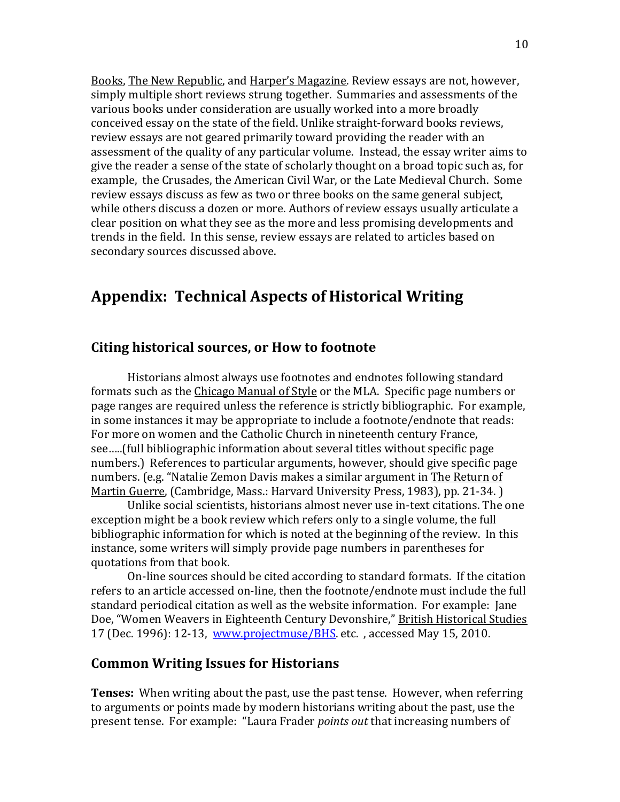Books, The New Republic, and Harper's Magazine. Review essays are not, however, simply multiple short reviews strung together. Summaries and assessments of the various books under consideration are usually worked into a more broadly conceived essay on the state of the field. Unlike straight-forward books reviews, review essays are not geared primarily toward providing the reader with an assessment of the quality of any particular volume. Instead, the essay writer aims to give the reader a sense of the state of scholarly thought on a broad topic such as, for example, the Crusades, the American Civil War, or the Late Medieval Church. Some review essays discuss as few as two or three books on the same general subject, while others discuss a dozen or more. Authors of review essays usually articulate a clear position on what they see as the more and less promising developments and trends in the field. In this sense, review essays are related to articles based on secondary sources discussed above.

# **Appendix: Technical Aspects of Historical Writing**

#### **Citing historical sources, or How to footnote**

Historians almost always use footnotes and endnotes following standard formats such as the Chicago Manual of Style or the MLA. Specific page numbers or page ranges are required unless the reference is strictly bibliographic. For example, in some instances it may be appropriate to include a footnote/endnote that reads: For more on women and the Catholic Church in nineteenth century France, see…..(full bibliographic information about several titles without specific page numbers.) References to particular arguments, however, should give specific page numbers. (e.g. "Natalie Zemon Davis makes a similar argument in The Return of Martin Guerre, (Cambridge, Mass.: Harvard University Press, 1983), pp. 21-34. )

Unlike social scientists, historians almost never use in-text citations. The one exception might be a book review which refers only to a single volume, the full bibliographic information for which is noted at the beginning of the review. In this instance, some writers will simply provide page numbers in parentheses for quotations from that book.

On-line sources should be cited according to standard formats. If the citation refers to an article accessed on-line, then the footnote/endnote must include the full standard periodical citation as well as the website information. For example: Jane Doe, "Women Weavers in Eighteenth Century Devonshire," British Historical Studies 17 (Dec. 1996): 12-13, [www.projectmuse/BHS.](http://www.projectmuse/BHS) etc. , accessed May 15, 2010.

## **Common Writing Issues for Historians**

**Tenses:** When writing about the past, use the past tense. However, when referring to arguments or points made by modern historians writing about the past, use the present tense. For example: "Laura Frader *points out* that increasing numbers of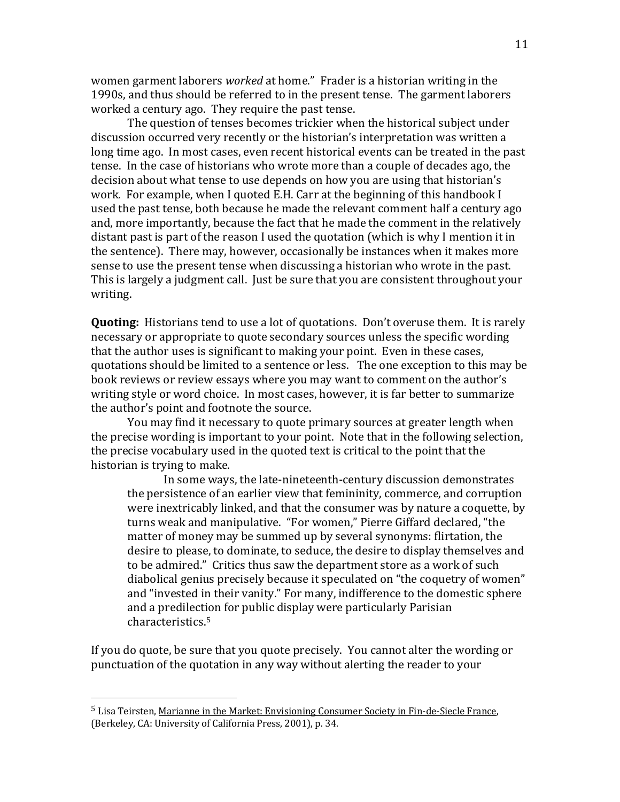women garment laborers *worked* at home." Frader is a historian writing in the 1990s, and thus should be referred to in the present tense. The garment laborers worked a century ago. They require the past tense.

The question of tenses becomes trickier when the historical subject under discussion occurred very recently or the historian's interpretation was written a long time ago. In most cases, even recent historical events can be treated in the past tense. In the case of historians who wrote more than a couple of decades ago, the decision about what tense to use depends on how you are using that historian's work. For example, when I quoted E.H. Carr at the beginning of this handbook I used the past tense, both because he made the relevant comment half a century ago and, more importantly, because the fact that he made the comment in the relatively distant past is part of the reason I used the quotation (which is why I mention it in the sentence). There may, however, occasionally be instances when it makes more sense to use the present tense when discussing a historian who wrote in the past. This is largely a judgment call. Just be sure that you are consistent throughout your writing.

**Quoting:** Historians tend to use a lot of quotations. Don't overuse them. It is rarely necessary or appropriate to quote secondary sources unless the specific wording that the author uses is significant to making your point. Even in these cases, quotations should be limited to a sentence or less. The one exception to this may be book reviews or review essays where you may want to comment on the author's writing style or word choice. In most cases, however, it is far better to summarize the author's point and footnote the source.

You may find it necessary to quote primary sources at greater length when the precise wording is important to your point. Note that in the following selection, the precise vocabulary used in the quoted text is critical to the point that the historian is trying to make.

In some ways, the late-nineteenth-century discussion demonstrates the persistence of an earlier view that femininity, commerce, and corruption were inextricably linked, and that the consumer was by nature a coquette, by turns weak and manipulative. "For women," Pierre Giffard declared, "the matter of money may be summed up by several synonyms: flirtation, the desire to please, to dominate, to seduce, the desire to display themselves and to be admired." Critics thus saw the department store as a work of such diabolical genius precisely because it speculated on "the coquetry of women" and "invested in their vanity." For many, indifference to the domestic sphere and a predilection for public display were particularly Parisian characteristics.[5](#page-10-0)

If you do quote, be sure that you quote precisely. You cannot alter the wording or punctuation of the quotation in any way without alerting the reader to your

<span id="page-10-0"></span><sup>5</sup> Lisa Teirsten, Marianne in the Market: Envisioning Consumer Society in Fin-de-Siecle France, (Berkeley, CA: University of California Press, 2001), p. 34.